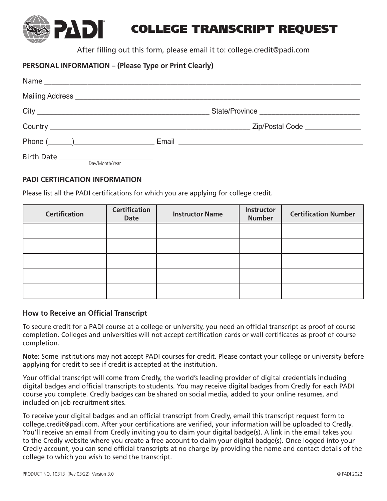

After filling out this form, please email it to: college.credit@padi.com

## **PERSONAL INFORMATION – (Please Type or Print Clearly)**

|                | Phone ( <u>National Communication</u> Email Communication of the entries of the email contract of the email contract of the email contract of the email contract of the email contract of the email contract of the email contract o |
|----------------|--------------------------------------------------------------------------------------------------------------------------------------------------------------------------------------------------------------------------------------|
| Day/Month/Year |                                                                                                                                                                                                                                      |

### **PADI CERTIFICATION INFORMATION**

**24DI** 

Please list all the PADI certifications for which you are applying for college credit.

| <b>Certification</b> | <b>Certification</b><br><b>Date</b> | <b>Instructor Name</b> | Instructor<br><b>Number</b> | <b>Certification Number</b> |
|----------------------|-------------------------------------|------------------------|-----------------------------|-----------------------------|
|                      |                                     |                        |                             |                             |
|                      |                                     |                        |                             |                             |
|                      |                                     |                        |                             |                             |
|                      |                                     |                        |                             |                             |
|                      |                                     |                        |                             |                             |

#### **How to Receive an Official Transcript**

To secure credit for a PADI course at a college or university, you need an official transcript as proof of course completion. Colleges and universities will not accept certification cards or wall certificates as proof of course completion.

**Note:** Some institutions may not accept PADI courses for credit. Please contact your college or university before applying for credit to see if credit is accepted at the institution.

Your official transcript will come from Credly, the world's leading provider of digital credentials including digital badges and official transcripts to students. You may receive digital badges from Credly for each PADI course you complete. Credly badges can be shared on social media, added to your online resumes, and included on job recruitment sites.

To receive your digital badges and an official transcript from Credly, email this transcript request form to college.credit@padi.com. After your certifications are verified, your information will be uploaded to Credly. You'll receive an email from Credly inviting you to claim your digital badge(s). A link in the email takes you to the Credly website where you create a free account to claim your digital badge(s). Once logged into your Credly account, you can send official transcripts at no charge by providing the name and contact details of the college to which you wish to send the transcript.